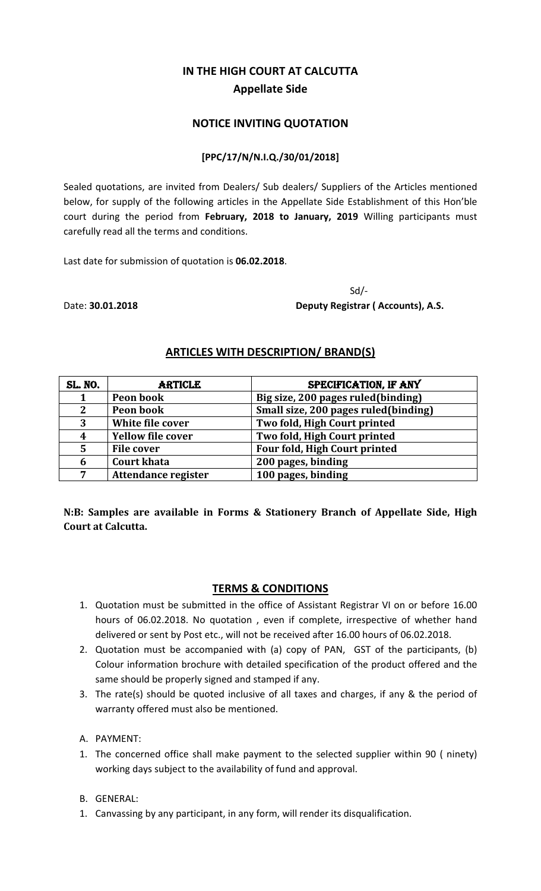# **IN THE HIGH COURT AT CALCUTTA Appellate Side**

### **NOTICE INVITING QUOTATION**

#### **[PPC/17/N/N.I.Q./30/01/2018]**

Sealed quotations, are invited from Dealers/ Sub dealers/ Suppliers of the Articles mentioned below, for supply of the following articles in the Appellate Side Establishment of this Hon'ble court during the period from **February, 2018 to January, 2019** Willing participants must carefully read all the terms and conditions.

Last date for submission of quotation is **06.02.2018**.

 Sd/‐ Date: **30.01.2018 Deputy Registrar ( Accounts), A.S.**

## **ARTICLES WITH DESCRIPTION/ BRAND(S)**

| <b>SL. NO.</b> | <b>ARTICLE</b>           | SPECIFICATION, IF ANY                |
|----------------|--------------------------|--------------------------------------|
|                | Peon book                | Big size, 200 pages ruled(binding)   |
| $\mathbf 2$    | Peon book                | Small size, 200 pages ruled(binding) |
| 3              | White file cover         | Two fold, High Court printed         |
| 4              | <b>Yellow file cover</b> | Two fold, High Court printed         |
| 5              | <b>File cover</b>        | Four fold, High Court printed        |
| 6              | <b>Court khata</b>       | 200 pages, binding                   |
| 7              | Attendance register      | 100 pages, binding                   |

**N:B:** Samples are available in Forms & Stationery Branch of Appellate Side, High **Court at Calcutta.**

## **TERMS & CONDITIONS**

- 1. Quotation must be submitted in the office of Assistant Registrar VI on or before 16.00 hours of 06.02.2018. No quotation , even if complete, irrespective of whether hand delivered or sent by Post etc., will not be received after 16.00 hours of 06.02.2018.
- 2. Quotation must be accompanied with (a) copy of PAN, GST of the participants, (b) Colour information brochure with detailed specification of the product offered and the same should be properly signed and stamped if any.
- 3. The rate(s) should be quoted inclusive of all taxes and charges, if any & the period of warranty offered must also be mentioned.
- A. PAYMENT:
- 1. The concerned office shall make payment to the selected supplier within 90 ( ninety) working days subject to the availability of fund and approval.
- B. GENERAL:
- 1. Canvassing by any participant, in any form, will render its disqualification.